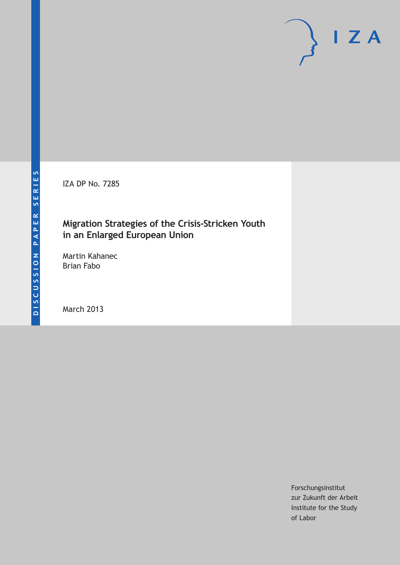IZA DP No. 7285

## **Migration Strategies of the Crisis-Stricken Youth in an Enlarged European Union**

Martin Kahanec Brian Fabo

March 2013

Forschungsinstitut zur Zukunft der Arbeit Institute for the Study of Labor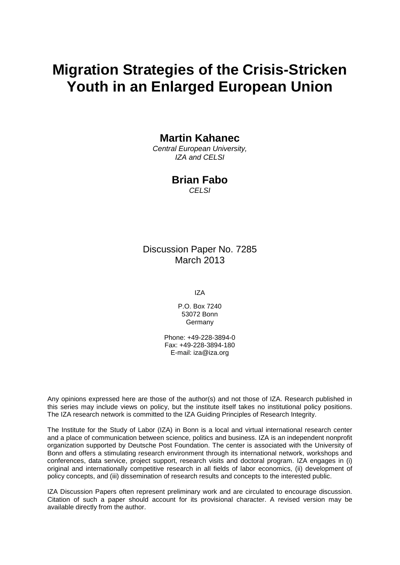# **Migration Strategies of the Crisis-Stricken Youth in an Enlarged European Union**

### **Martin Kahanec**

*Central European University, IZA and CELSI*

### **Brian Fabo**

*CELSI*

Discussion Paper No. 7285 March 2013

IZA

P.O. Box 7240 53072 Bonn Germany

Phone: +49-228-3894-0 Fax: +49-228-3894-180 E-mail: [iza@iza.org](mailto:iza@iza.org)

Any opinions expressed here are those of the author(s) and not those of IZA. Research published in this series may include views on policy, but the institute itself takes no institutional policy positions. The IZA research network is committed to the IZA Guiding Principles of Research Integrity.

The Institute for the Study of Labor (IZA) in Bonn is a local and virtual international research center and a place of communication between science, politics and business. IZA is an independent nonprofit organization supported by Deutsche Post Foundation. The center is associated with the University of Bonn and offers a stimulating research environment through its international network, workshops and conferences, data service, project support, research visits and doctoral program. IZA engages in (i) original and internationally competitive research in all fields of labor economics, (ii) development of policy concepts, and (iii) dissemination of research results and concepts to the interested public.

IZA Discussion Papers often represent preliminary work and are circulated to encourage discussion. Citation of such a paper should account for its provisional character. A revised version may be available directly from the author.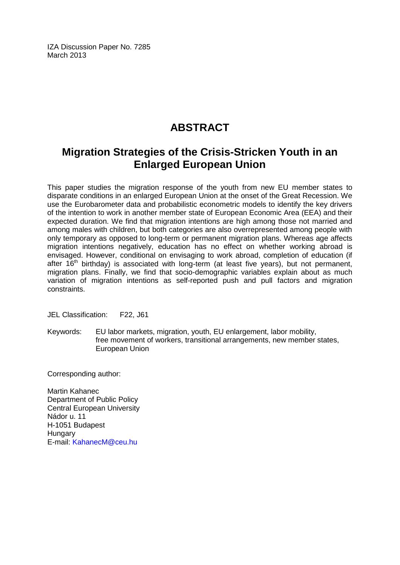IZA Discussion Paper No. 7285 March 2013

# **ABSTRACT**

# **Migration Strategies of the Crisis-Stricken Youth in an Enlarged European Union**

This paper studies the migration response of the youth from new EU member states to disparate conditions in an enlarged European Union at the onset of the Great Recession. We use the Eurobarometer data and probabilistic econometric models to identify the key drivers of the intention to work in another member state of European Economic Area (EEA) and their expected duration. We find that migration intentions are high among those not married and among males with children, but both categories are also overrepresented among people with only temporary as opposed to long-term or permanent migration plans. Whereas age affects migration intentions negatively, education has no effect on whether working abroad is envisaged. However, conditional on envisaging to work abroad, completion of education (if after  $16<sup>th</sup>$  birthday) is associated with long-term (at least five years), but not permanent, migration plans. Finally, we find that socio-demographic variables explain about as much variation of migration intentions as self-reported push and pull factors and migration constraints.

JEL Classification: F22, J61

Keywords: EU labor markets, migration, youth, EU enlargement, labor mobility, free movement of workers, transitional arrangements, new member states, European Union

Corresponding author:

Martin Kahanec Department of Public Policy Central European University Nádor u. 11 H-1051 Budapest **Hungary** E-mail: [KahanecM@ceu.hu](mailto:KahanecM@ceu.hu)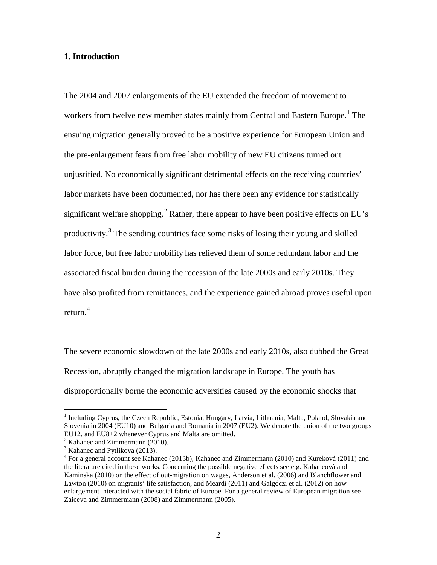#### **1. Introduction**

The 2004 and 2007 enlargements of the EU extended the freedom of movement to workers from twelve new member states mainly from Central and Eastern Europe.<sup>[1](#page-3-0)</sup> The ensuing migration generally proved to be a positive experience for European Union and the pre-enlargement fears from free labor mobility of new EU citizens turned out unjustified. No economically significant detrimental effects on the receiving countries' labor markets have been documented, nor has there been any evidence for statistically significant welfare shopping.<sup>[2](#page-3-1)</sup> Rather, there appear to have been positive effects on EU's productivity. $3$  The sending countries face some risks of losing their young and skilled labor force, but free labor mobility has relieved them of some redundant labor and the associated fiscal burden during the recession of the late 2000s and early 2010s. They have also profited from remittances, and the experience gained abroad proves useful upon return. [4](#page-3-3)

The severe economic slowdown of the late 2000s and early 2010s, also dubbed the Great Recession, abruptly changed the migration landscape in Europe. The youth has disproportionally borne the economic adversities caused by the economic shocks that

<span id="page-3-0"></span><sup>&</sup>lt;sup>1</sup> Including Cyprus, the Czech Republic, Estonia, Hungary, Latvia, Lithuania, Malta, Poland, Slovakia and Slovenia in 2004 (EU10) and Bulgaria and Romania in 2007 (EU2). We denote the union of the two groups EU12, and EU8+2 whenever Cyprus and Malta are omitted.

<span id="page-3-2"></span><span id="page-3-1"></span> $\frac{2}{3}$  Kahanec and Zimmermann (2010).<br> $\frac{3}{3}$  Kahanec and Pytlikova (2013).

<span id="page-3-3"></span> $3<sup>4</sup>$  For a general account see Kahanec (2013b), Kahanec and Zimmermann (2010) and Kureková (2011) and the literature cited in these works. Concerning the possible negative effects see e.g. Kahancová and Kaminska (2010) on the effect of out-migration on wages, Anderson et al. (2006) and Blanchflower and Lawton (2010) on migrants' life satisfaction, and Meardi (2011) and Galgóczi et al. (2012) on how enlargement interacted with the social fabric of Europe. For a general review of European migration see Zaiceva and Zimmermann (2008) and Zimmermann (2005).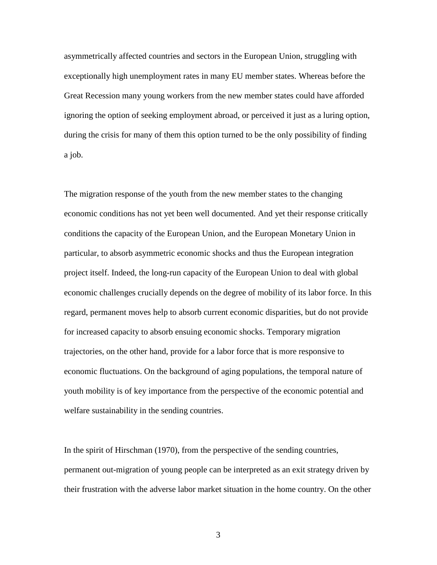asymmetrically affected countries and sectors in the European Union, struggling with exceptionally high unemployment rates in many EU member states. Whereas before the Great Recession many young workers from the new member states could have afforded ignoring the option of seeking employment abroad, or perceived it just as a luring option, during the crisis for many of them this option turned to be the only possibility of finding a job.

The migration response of the youth from the new member states to the changing economic conditions has not yet been well documented. And yet their response critically conditions the capacity of the European Union, and the European Monetary Union in particular, to absorb asymmetric economic shocks and thus the European integration project itself. Indeed, the long-run capacity of the European Union to deal with global economic challenges crucially depends on the degree of mobility of its labor force. In this regard, permanent moves help to absorb current economic disparities, but do not provide for increased capacity to absorb ensuing economic shocks. Temporary migration trajectories, on the other hand, provide for a labor force that is more responsive to economic fluctuations. On the background of aging populations, the temporal nature of youth mobility is of key importance from the perspective of the economic potential and welfare sustainability in the sending countries.

In the spirit of Hirschman (1970), from the perspective of the sending countries, permanent out-migration of young people can be interpreted as an exit strategy driven by their frustration with the adverse labor market situation in the home country. On the other

3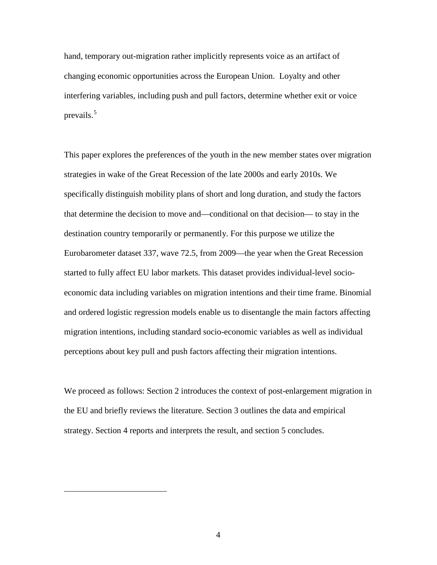hand, temporary out-migration rather implicitly represents voice as an artifact of changing economic opportunities across the European Union. Loyalty and other interfering variables, including push and pull factors, determine whether exit or voice prevails. $5$ 

This paper explores the preferences of the youth in the new member states over migration strategies in wake of the Great Recession of the late 2000s and early 2010s. We specifically distinguish mobility plans of short and long duration, and study the factors that determine the decision to move and—conditional on that decision— to stay in the destination country temporarily or permanently. For this purpose we utilize the Eurobarometer dataset 337, wave 72.5, from 2009—the year when the Great Recession started to fully affect EU labor markets. This dataset provides individual-level socioeconomic data including variables on migration intentions and their time frame. Binomial and ordered logistic regression models enable us to disentangle the main factors affecting migration intentions, including standard socio-economic variables as well as individual perceptions about key pull and push factors affecting their migration intentions.

We proceed as follows: Section 2 introduces the context of post-enlargement migration in the EU and briefly reviews the literature. Section 3 outlines the data and empirical strategy. Section 4 reports and interprets the result, and section 5 concludes.

<span id="page-5-0"></span> $\overline{a}$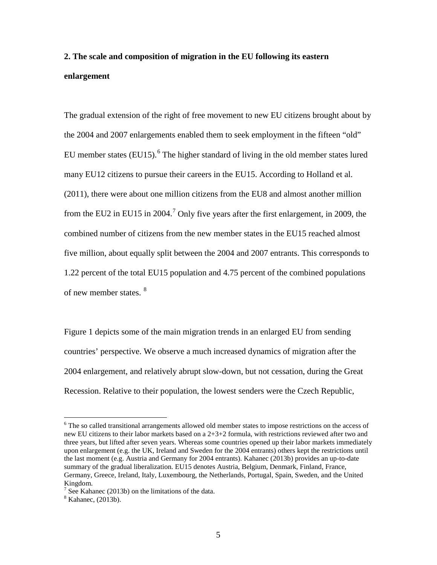# **2. The scale and composition of migration in the EU following its eastern enlargement**

The gradual extension of the right of free movement to new EU citizens brought about by the 2004 and 2007 enlargements enabled them to seek employment in the fifteen "old" EU member states  $(EU15)$ <sup>[6](#page-6-0)</sup>. The higher standard of living in the old member states lured many EU12 citizens to pursue their careers in the EU15. According to Holland et al. (2011), there were about one million citizens from the EU8 and almost another million from the EU2 in EU15 in 2004.<sup>[7](#page-6-1)</sup> Only five years after the first enlargement, in 2009, the combined number of citizens from the new member states in the EU15 reached almost five million, about equally split between the 2004 and 2007 entrants. This corresponds to 1.22 percent of the total EU15 population and 4.75 percent of the combined populations of new member states. [8](#page-6-2)

Figure 1 depicts some of the main migration trends in an enlarged EU from sending countries' perspective. We observe a much increased dynamics of migration after the 2004 enlargement, and relatively abrupt slow-down, but not cessation, during the Great Recession. Relative to their population, the lowest senders were the Czech Republic,

<span id="page-6-0"></span><sup>&</sup>lt;sup>6</sup> The so called transitional arrangements allowed old member states to impose restrictions on the access of new EU citizens to their labor markets based on a 2+3+2 formula, with restrictions reviewed after two and three years, but lifted after seven years. Whereas some countries opened up their labor markets immediately upon enlargement (e.g. the UK, Ireland and Sweden for the 2004 entrants) others kept the restrictions until the last moment (e.g. Austria and Germany for 2004 entrants). Kahanec (2013b) provides an up-to-date summary of the gradual liberalization. EU15 denotes Austria, Belgium, Denmark, Finland, France, Germany, Greece, Ireland, Italy, Luxembourg, the Netherlands, Portugal, Spain, Sweden, and the United Kingdom.

<span id="page-6-2"></span><span id="page-6-1"></span> $^7$  See Kahanec (2013b) on the limitations of the data.  $^8$  Kahanec, (2013b).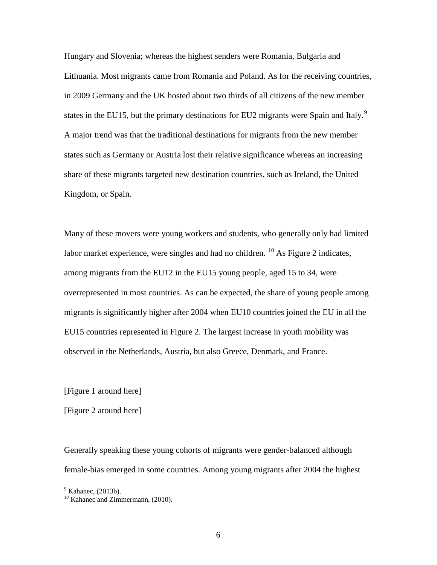Hungary and Slovenia; whereas the highest senders were Romania, Bulgaria and Lithuania. Most migrants came from Romania and Poland. As for the receiving countries, in 2009 Germany and the UK hosted about two thirds of all citizens of the new member states in the EU15, but the primary destinations for EU2 migrants were Spain and Italy.<sup>[9](#page-7-0)</sup> A major trend was that the traditional destinations for migrants from the new member states such as Germany or Austria lost their relative significance whereas an increasing share of these migrants targeted new destination countries, such as Ireland, the United Kingdom, or Spain.

Many of these movers were young workers and students, who generally only had limited labor market experience, were singles and had no children.  $^{10}$  $^{10}$  $^{10}$  As Figure 2 indicates, among migrants from the EU12 in the EU15 young people, aged 15 to 34, were overrepresented in most countries. As can be expected, the share of young people among migrants is significantly higher after 2004 when EU10 countries joined the EU in all the EU15 countries represented in Figure 2. The largest increase in youth mobility was observed in the Netherlands, Austria, but also Greece, Denmark, and France.

[Figure 1 around here]

[Figure 2 around here]

Generally speaking these young cohorts of migrants were gender-balanced although female-bias emerged in some countries. Among young migrants after 2004 the highest

<span id="page-7-1"></span><span id="page-7-0"></span> $\frac{9}{10}$  Kahanec, (2013b).<br><sup>10</sup> Kahanec and Zimmermann, (2010).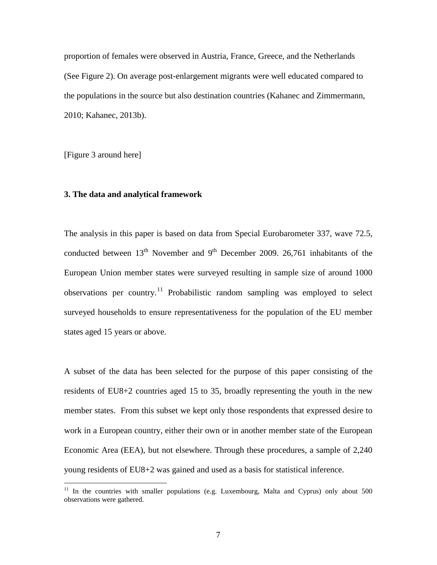proportion of females were observed in Austria, France, Greece, and the Netherlands (See Figure 2). On average post-enlargement migrants were well educated compared to the populations in the source but also destination countries (Kahanec and Zimmermann, 2010; Kahanec, 2013b).

[Figure 3 around here]

#### **3. The data and analytical framework**

The analysis in this paper is based on data from Special Eurobarometer 337, wave 72.5, conducted between  $13<sup>th</sup>$  November and  $9<sup>th</sup>$  December 2009. 26,761 inhabitants of the European Union member states were surveyed resulting in sample size of around 1000 observations per country.<sup>[11](#page-8-0)</sup> Probabilistic random sampling was employed to select surveyed households to ensure representativeness for the population of the EU member states aged 15 years or above.

A subset of the data has been selected for the purpose of this paper consisting of the residents of EU8+2 countries aged 15 to 35, broadly representing the youth in the new member states. From this subset we kept only those respondents that expressed desire to work in a European country, either their own or in another member state of the European Economic Area (EEA), but not elsewhere. Through these procedures, a sample of 2,240 young residents of EU8+2 was gained and used as a basis for statistical inference.

<span id="page-8-0"></span><sup>&</sup>lt;sup>11</sup> In the countries with smaller populations (e.g. Luxembourg, Malta and Cyprus) only about 500 observations were gathered.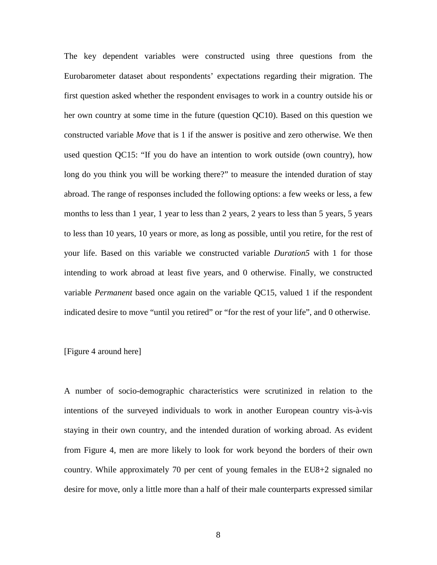The key dependent variables were constructed using three questions from the Eurobarometer dataset about respondents' expectations regarding their migration. The first question asked whether the respondent envisages to work in a country outside his or her own country at some time in the future (question QC10). Based on this question we constructed variable *Move* that is 1 if the answer is positive and zero otherwise. We then used question QC15: "If you do have an intention to work outside (own country), how long do you think you will be working there?" to measure the intended duration of stay abroad. The range of responses included the following options: a few weeks or less, a few months to less than 1 year, 1 year to less than 2 years, 2 years to less than 5 years, 5 years to less than 10 years, 10 years or more, as long as possible, until you retire, for the rest of your life. Based on this variable we constructed variable *Duration5* with 1 for those intending to work abroad at least five years, and 0 otherwise. Finally, we constructed variable *Permanent* based once again on the variable QC15, valued 1 if the respondent indicated desire to move "until you retired" or "for the rest of your life", and 0 otherwise.

#### [Figure 4 around here]

A number of socio-demographic characteristics were scrutinized in relation to the intentions of the surveyed individuals to work in another European country vis-à-vis staying in their own country, and the intended duration of working abroad. As evident from Figure 4, men are more likely to look for work beyond the borders of their own country. While approximately 70 per cent of young females in the EU8+2 signaled no desire for move, only a little more than a half of their male counterparts expressed similar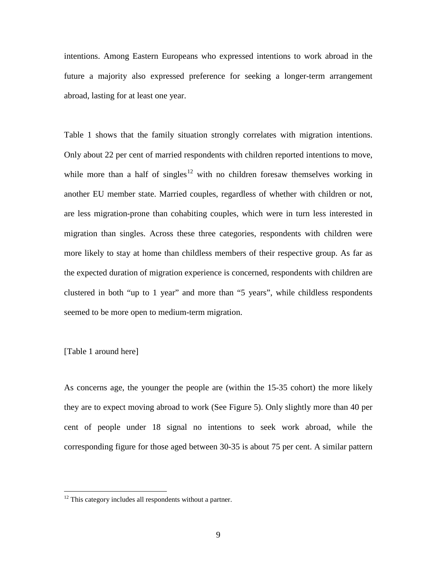intentions. Among Eastern Europeans who expressed intentions to work abroad in the future a majority also expressed preference for seeking a longer-term arrangement abroad, lasting for at least one year.

Table 1 shows that the family situation strongly correlates with migration intentions. Only about 22 per cent of married respondents with children reported intentions to move, while more than a half of singles<sup>[12](#page-10-0)</sup> with no children foresaw themselves working in another EU member state. Married couples, regardless of whether with children or not, are less migration-prone than cohabiting couples, which were in turn less interested in migration than singles. Across these three categories, respondents with children were more likely to stay at home than childless members of their respective group. As far as the expected duration of migration experience is concerned, respondents with children are clustered in both "up to 1 year" and more than "5 years", while childless respondents seemed to be more open to medium-term migration.

#### [Table 1 around here]

As concerns age, the younger the people are (within the 15-35 cohort) the more likely they are to expect moving abroad to work (See Figure 5). Only slightly more than 40 per cent of people under 18 signal no intentions to seek work abroad, while the corresponding figure for those aged between 30-35 is about 75 per cent. A similar pattern

<span id="page-10-0"></span> $12$  This category includes all respondents without a partner.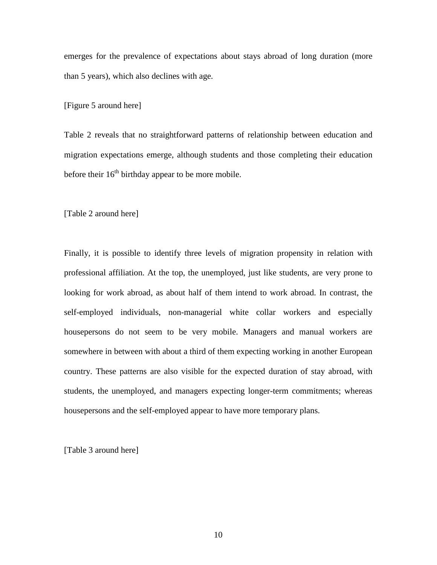emerges for the prevalence of expectations about stays abroad of long duration (more than 5 years), which also declines with age.

#### [Figure 5 around here]

Table 2 reveals that no straightforward patterns of relationship between education and migration expectations emerge, although students and those completing their education before their  $16<sup>th</sup>$  birthday appear to be more mobile.

[Table 2 around here]

Finally, it is possible to identify three levels of migration propensity in relation with professional affiliation. At the top, the unemployed, just like students, are very prone to looking for work abroad, as about half of them intend to work abroad. In contrast, the self-employed individuals, non-managerial white collar workers and especially housepersons do not seem to be very mobile. Managers and manual workers are somewhere in between with about a third of them expecting working in another European country. These patterns are also visible for the expected duration of stay abroad, with students, the unemployed, and managers expecting longer-term commitments; whereas housepersons and the self-employed appear to have more temporary plans.

[Table 3 around here]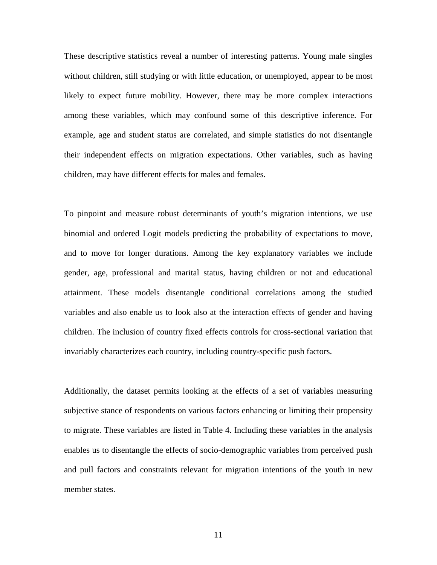These descriptive statistics reveal a number of interesting patterns. Young male singles without children, still studying or with little education, or unemployed, appear to be most likely to expect future mobility. However, there may be more complex interactions among these variables, which may confound some of this descriptive inference. For example, age and student status are correlated, and simple statistics do not disentangle their independent effects on migration expectations. Other variables, such as having children, may have different effects for males and females.

To pinpoint and measure robust determinants of youth's migration intentions, we use binomial and ordered Logit models predicting the probability of expectations to move, and to move for longer durations. Among the key explanatory variables we include gender, age, professional and marital status, having children or not and educational attainment. These models disentangle conditional correlations among the studied variables and also enable us to look also at the interaction effects of gender and having children. The inclusion of country fixed effects controls for cross-sectional variation that invariably characterizes each country, including country-specific push factors.

Additionally, the dataset permits looking at the effects of a set of variables measuring subjective stance of respondents on various factors enhancing or limiting their propensity to migrate. These variables are listed in Table 4. Including these variables in the analysis enables us to disentangle the effects of socio-demographic variables from perceived push and pull factors and constraints relevant for migration intentions of the youth in new member states.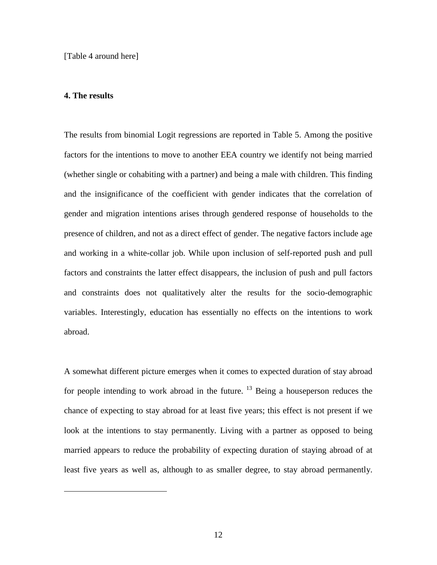[Table 4 around here]

#### **4. The results**

<span id="page-13-0"></span> $\overline{a}$ 

The results from binomial Logit regressions are reported in Table 5. Among the positive factors for the intentions to move to another EEA country we identify not being married (whether single or cohabiting with a partner) and being a male with children. This finding and the insignificance of the coefficient with gender indicates that the correlation of gender and migration intentions arises through gendered response of households to the presence of children, and not as a direct effect of gender. The negative factors include age and working in a white-collar job. While upon inclusion of self-reported push and pull factors and constraints the latter effect disappears, the inclusion of push and pull factors and constraints does not qualitatively alter the results for the socio-demographic variables. Interestingly, education has essentially no effects on the intentions to work abroad.

A somewhat different picture emerges when it comes to expected duration of stay abroad for people intending to work abroad in the future.  $13$  Being a houseperson reduces the chance of expecting to stay abroad for at least five years; this effect is not present if we look at the intentions to stay permanently. Living with a partner as opposed to being married appears to reduce the probability of expecting duration of staying abroad of at least five years as well as, although to as smaller degree, to stay abroad permanently.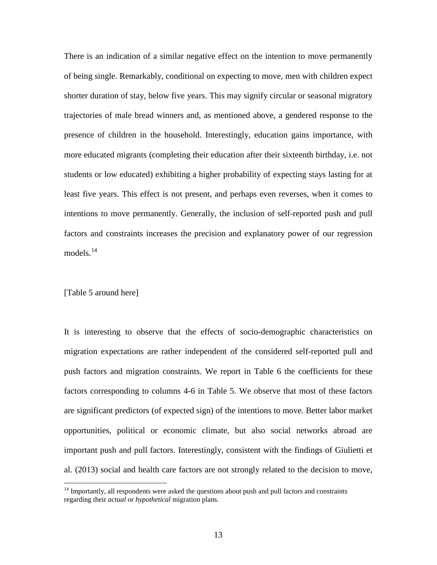There is an indication of a similar negative effect on the intention to move permanently of being single. Remarkably, conditional on expecting to move, men with children expect shorter duration of stay, below five years. This may signify circular or seasonal migratory trajectories of male bread winners and, as mentioned above, a gendered response to the presence of children in the household. Interestingly, education gains importance, with more educated migrants (completing their education after their sixteenth birthday, i.e. not students or low educated) exhibiting a higher probability of expecting stays lasting for at least five years. This effect is not present, and perhaps even reverses, when it comes to intentions to move permanently. Generally, the inclusion of self-reported push and pull factors and constraints increases the precision and explanatory power of our regression models. $14$ 

#### [Table 5 around here]

It is interesting to observe that the effects of socio-demographic characteristics on migration expectations are rather independent of the considered self-reported pull and push factors and migration constraints. We report in Table 6 the coefficients for these factors corresponding to columns 4-6 in Table 5. We observe that most of these factors are significant predictors (of expected sign) of the intentions to move. Better labor market opportunities, political or economic climate, but also social networks abroad are important push and pull factors. Interestingly, consistent with the findings of Giulietti et al. (2013) social and health care factors are not strongly related to the decision to move,

<span id="page-14-0"></span> $14$  Importantly, all respondents were asked the questions about push and pull factors and constraints regarding their *actual* or *hypothetical* migration plans.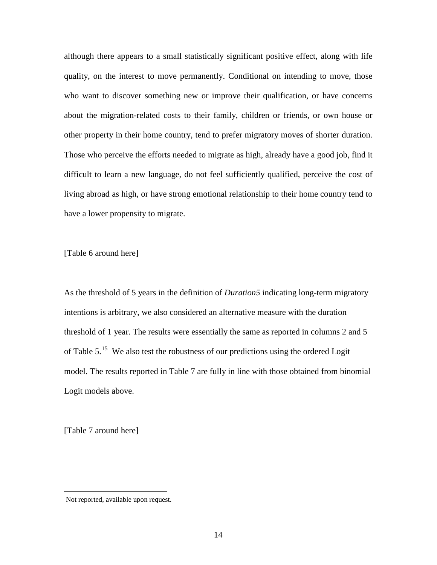although there appears to a small statistically significant positive effect, along with life quality, on the interest to move permanently. Conditional on intending to move, those who want to discover something new or improve their qualification, or have concerns about the migration-related costs to their family, children or friends, or own house or other property in their home country, tend to prefer migratory moves of shorter duration. Those who perceive the efforts needed to migrate as high, already have a good job, find it difficult to learn a new language, do not feel sufficiently qualified, perceive the cost of living abroad as high, or have strong emotional relationship to their home country tend to have a lower propensity to migrate.

[Table 6 around here]

As the threshold of 5 years in the definition of *Duration5* indicating long-term migratory intentions is arbitrary, we also considered an alternative measure with the duration threshold of 1 year. The results were essentially the same as reported in columns 2 and 5 of Table 5.<sup>15</sup> We also test the robustness of our predictions using the ordered Logit model. The results reported in Table 7 are fully in line with those obtained from binomial Logit models above.

[Table 7 around here]

<span id="page-15-0"></span>Not reported, available upon request.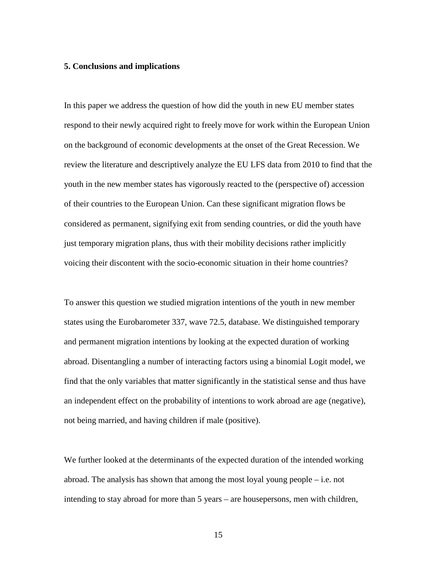#### **5. Conclusions and implications**

In this paper we address the question of how did the youth in new EU member states respond to their newly acquired right to freely move for work within the European Union on the background of economic developments at the onset of the Great Recession. We review the literature and descriptively analyze the EU LFS data from 2010 to find that the youth in the new member states has vigorously reacted to the (perspective of) accession of their countries to the European Union. Can these significant migration flows be considered as permanent, signifying exit from sending countries, or did the youth have just temporary migration plans, thus with their mobility decisions rather implicitly voicing their discontent with the socio-economic situation in their home countries?

To answer this question we studied migration intentions of the youth in new member states using the Eurobarometer 337, wave 72.5, database. We distinguished temporary and permanent migration intentions by looking at the expected duration of working abroad. Disentangling a number of interacting factors using a binomial Logit model, we find that the only variables that matter significantly in the statistical sense and thus have an independent effect on the probability of intentions to work abroad are age (negative), not being married, and having children if male (positive).

We further looked at the determinants of the expected duration of the intended working abroad. The analysis has shown that among the most loyal young people  $-$  i.e. not intending to stay abroad for more than 5 years – are housepersons, men with children,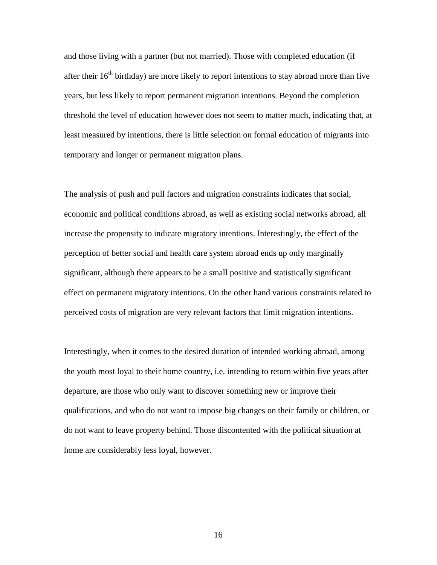and those living with a partner (but not married). Those with completed education (if after their  $16<sup>th</sup>$  birthday) are more likely to report intentions to stay abroad more than five years, but less likely to report permanent migration intentions. Beyond the completion threshold the level of education however does not seem to matter much, indicating that, at least measured by intentions, there is little selection on formal education of migrants into temporary and longer or permanent migration plans.

The analysis of push and pull factors and migration constraints indicates that social, economic and political conditions abroad, as well as existing social networks abroad, all increase the propensity to indicate migratory intentions. Interestingly, the effect of the perception of better social and health care system abroad ends up only marginally significant, although there appears to be a small positive and statistically significant effect on permanent migratory intentions. On the other hand various constraints related to perceived costs of migration are very relevant factors that limit migration intentions.

Interestingly, when it comes to the desired duration of intended working abroad, among the youth most loyal to their home country, i.e. intending to return within five years after departure, are those who only want to discover something new or improve their qualifications, and who do not want to impose big changes on their family or children, or do not want to leave property behind. Those discontented with the political situation at home are considerably less loyal, however.

16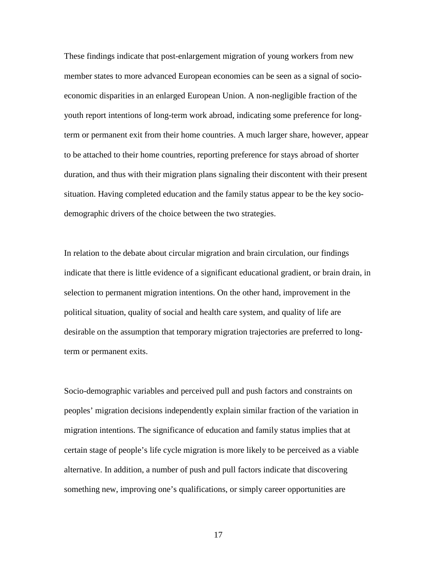These findings indicate that post-enlargement migration of young workers from new member states to more advanced European economies can be seen as a signal of socioeconomic disparities in an enlarged European Union. A non-negligible fraction of the youth report intentions of long-term work abroad, indicating some preference for longterm or permanent exit from their home countries. A much larger share, however, appear to be attached to their home countries, reporting preference for stays abroad of shorter duration, and thus with their migration plans signaling their discontent with their present situation. Having completed education and the family status appear to be the key sociodemographic drivers of the choice between the two strategies.

In relation to the debate about circular migration and brain circulation, our findings indicate that there is little evidence of a significant educational gradient, or brain drain, in selection to permanent migration intentions. On the other hand, improvement in the political situation, quality of social and health care system, and quality of life are desirable on the assumption that temporary migration trajectories are preferred to longterm or permanent exits.

Socio-demographic variables and perceived pull and push factors and constraints on peoples' migration decisions independently explain similar fraction of the variation in migration intentions. The significance of education and family status implies that at certain stage of people's life cycle migration is more likely to be perceived as a viable alternative. In addition, a number of push and pull factors indicate that discovering something new, improving one's qualifications, or simply career opportunities are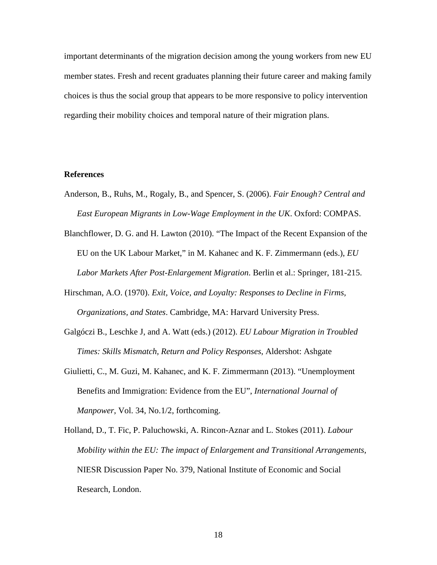important determinants of the migration decision among the young workers from new EU member states. Fresh and recent graduates planning their future career and making family choices is thus the social group that appears to be more responsive to policy intervention regarding their mobility choices and temporal nature of their migration plans.

#### **References**

- Anderson, B., Ruhs, M., Rogaly, B., and Spencer, S. (2006). *Fair Enough? Central and East European Migrants in Low-Wage Employment in the UK*. Oxford: COMPAS.
- Blanchflower, D. G. and H. Lawton (2010). "The Impact of the Recent Expansion of the EU on the UK Labour Market," in M. Kahanec and K. F. Zimmermann (eds.), *EU Labor Markets After Post-Enlargement Migration*. Berlin et al.: Springer, 181-215.
- Hirschman, A.O. (1970). *Exit, Voice, and Loyalty: Responses to Decline in Firms, Organizations, and States*. Cambridge, MA: Harvard University Press.
- Galgóczi B., Leschke J, and A. Watt (eds.) (2012). *EU Labour Migration in Troubled Times: Skills Mismatch, Return and Policy Responses*, Aldershot: Ashgate
- Giulietti, C., M. Guzi, M. Kahanec, and K. F. Zimmermann (2013). "Unemployment Benefits and Immigration: Evidence from the EU", *International Journal of Manpower*, Vol. 34, No.1/2, forthcoming.
- Holland, D., T. Fic, P. Paluchowski, A. Rincon-Aznar and L. Stokes (2011). *Labour Mobility within the EU: The impact of Enlargement and Transitional Arrangements*, NIESR Discussion Paper No. 379, National Institute of Economic and Social Research, London.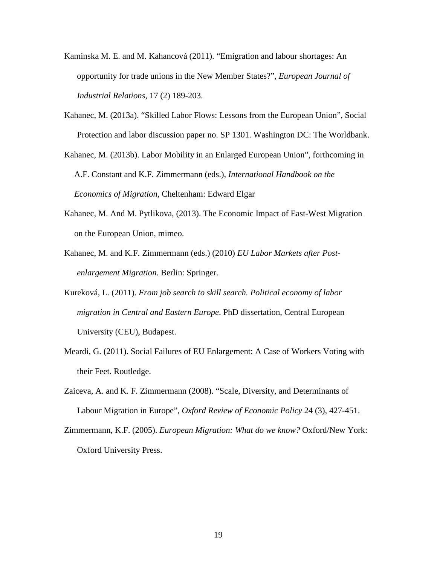- Kaminska M. E. and M. Kahancová (2011). "Emigration and labour shortages: An opportunity for trade unions in the New Member States?", *European Journal of Industrial Relations*, 17 (2) 189-203.
- Kahanec, M. (2013a). "Skilled Labor Flows: Lessons from the European Union", Social Protection and labor discussion paper no. SP 1301. Washington DC: The Worldbank.

Kahanec, M. (2013b). Labor Mobility in an Enlarged European Union", forthcoming in A.F. Constant and K.F. Zimmermann (eds.), *International Handbook on the Economics of Migration*, Cheltenham: Edward Elgar

- Kahanec, M. And M. Pytlikova, (2013). The Economic Impact of East-West Migration on the European Union, mimeo.
- Kahanec, M. and K.F. Zimmermann (eds.) (2010) *EU Labor Markets after Postenlargement Migration.* Berlin: Springer.
- Kureková, L. (2011). *From job search to skill search. Political economy of labor migration in Central and Eastern Europe*. PhD dissertation, Central European University (CEU), Budapest.
- Meardi, G. (2011). Social Failures of EU Enlargement: A Case of Workers Voting with their Feet. Routledge.
- Zaiceva, A. and K. F. Zimmermann (2008). "Scale, Diversity, and Determinants of Labour Migration in Europe", *Oxford Review of Economic Policy* 24 (3), 427-451.
- Zimmermann, K.F. (2005). *European Migration: What do we know?* Oxford/New York: Oxford University Press.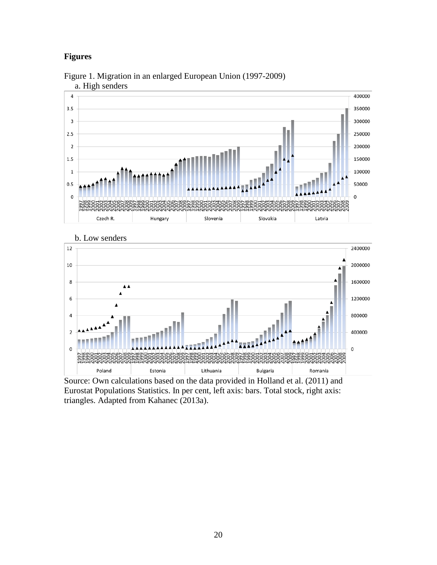### **Figures**



Figure 1. Migration in an enlarged European Union (1997-2009) a. High senders



Source: Own calculations based on the data provided in Holland et al. (2011) and Eurostat Populations Statistics. In per cent, left axis: bars. Total stock, right axis: triangles. Adapted from Kahanec (2013a).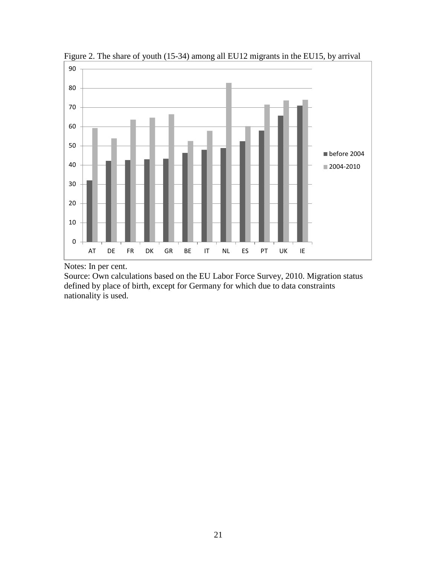

Figure 2. The share of youth (15-34) among all EU12 migrants in the EU15, by arrival

Notes: In per cent.

Source: Own calculations based on the EU Labor Force Survey, 2010. Migration status defined by place of birth, except for Germany for which due to data constraints nationality is used.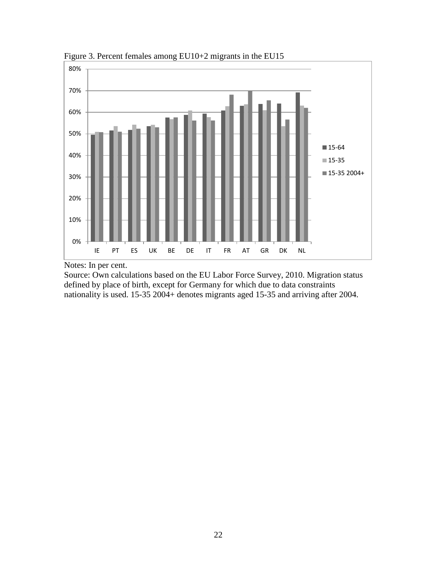

Figure 3. Percent females among EU10+2 migrants in the EU15

Notes: In per cent.

Source: Own calculations based on the EU Labor Force Survey, 2010. Migration status defined by place of birth, except for Germany for which due to data constraints nationality is used. 15-35 2004+ denotes migrants aged 15-35 and arriving after 2004.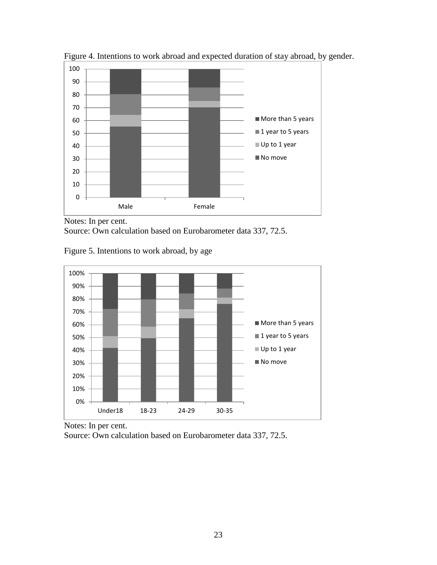

Figure 4. Intentions to work abroad and expected duration of stay abroad, by gender.

Figure 5. Intentions to work abroad, by age



Notes: In per cent.

Source: Own calculation based on Eurobarometer data 337, 72.5.

Notes: In per cent. Source: Own calculation based on Eurobarometer data 337, 72.5.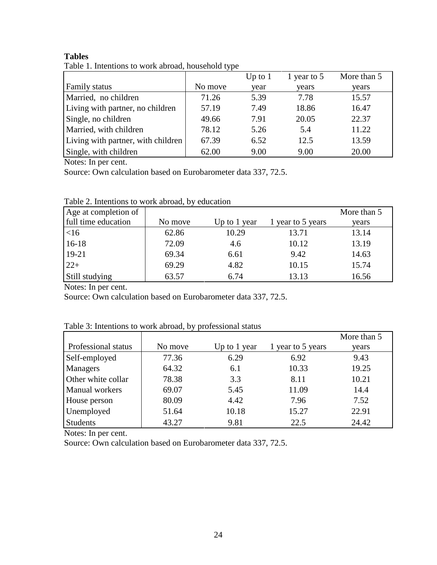#### **Tables**

| Table 1. Intentions to work abroad, household type |  |
|----------------------------------------------------|--|
|                                                    |  |

|                                    |         | Up to $1$ | 1 year to 5 | More than 5 |
|------------------------------------|---------|-----------|-------------|-------------|
| Family status                      | No move | year      | years       | years       |
| Married, no children               | 71.26   | 5.39      | 7.78        | 15.57       |
| Living with partner, no children   | 57.19   | 7.49      | 18.86       | 16.47       |
| Single, no children                | 49.66   | 7.91      | 20.05       | 22.37       |
| Married, with children             | 78.12   | 5.26      | 5.4         | 11.22       |
| Living with partner, with children | 67.39   | 6.52      | 12.5        | 13.59       |
| Single, with children              | 62.00   | 9.00      | 9.00        | 20.00       |

Notes: In per cent.

Source: Own calculation based on Eurobarometer data 337, 72.5.

|  | Table 2. Intentions to work abroad, by education |  |  |  |  |  |
|--|--------------------------------------------------|--|--|--|--|--|
|--|--------------------------------------------------|--|--|--|--|--|

| Age at completion of |         |              |                   | More than 5 |
|----------------------|---------|--------------|-------------------|-------------|
| full time education  | No move | Up to 1 year | 1 year to 5 years | years       |
| <16                  | 62.86   | 10.29        | 13.71             | 13.14       |
| $16-18$              | 72.09   | 4.6          | 10.12             | 13.19       |
| 19-21                | 69.34   | 6.61         | 9.42              | 14.63       |
| $22+$                | 69.29   | 4.82         | 10.15             | 15.74       |
| Still studying       | 63.57   | 6.74         | 13.13             | 16.56       |

Notes: In per cent.

Source: Own calculation based on Eurobarometer data 337, 72.5.

Table 3: Intentions to work abroad, by professional status

|                     |         |              |                   | More than 5 |
|---------------------|---------|--------------|-------------------|-------------|
| Professional status | No move | Up to 1 year | 1 year to 5 years | years       |
| Self-employed       | 77.36   | 6.29         | 6.92              | 9.43        |
| Managers            | 64.32   | 6.1          | 10.33             | 19.25       |
| Other white collar  | 78.38   | 3.3          | 8.11              | 10.21       |
| Manual workers      | 69.07   | 5.45         | 11.09             | 14.4        |
| House person        | 80.09   | 4.42         | 7.96              | 7.52        |
| Unemployed          | 51.64   | 10.18        | 15.27             | 22.91       |
| <b>Students</b>     | 43.27   | 9.81         | 22.5              | 24.42       |

Notes: In per cent.

Source: Own calculation based on Eurobarometer data 337, 72.5.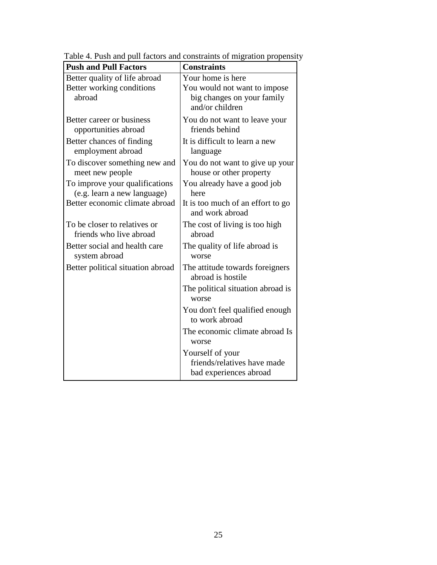| <b>Push and Pull Factors</b>                                  | <b>Constraints</b>                                                            |
|---------------------------------------------------------------|-------------------------------------------------------------------------------|
| Better quality of life abroad                                 | Your home is here                                                             |
| Better working conditions<br>abroad                           | You would not want to impose<br>big changes on your family<br>and/or children |
| Better career or business<br>opportunities abroad             | You do not want to leave your<br>friends behind                               |
| Better chances of finding<br>employment abroad                | It is difficult to learn a new<br>language                                    |
| To discover something new and<br>meet new people              | You do not want to give up your<br>house or other property                    |
| To improve your qualifications<br>(e.g. learn a new language) | You already have a good job<br>here                                           |
| Better economic climate abroad                                | It is too much of an effort to go<br>and work abroad                          |
| To be closer to relatives or<br>friends who live abroad       | The cost of living is too high<br>abroad                                      |
| Better social and health care<br>system abroad                | The quality of life abroad is<br>worse                                        |
| Better political situation abroad                             | The attitude towards foreigners<br>abroad is hostile                          |
|                                                               | The political situation abroad is<br>worse                                    |
|                                                               | You don't feel qualified enough<br>to work abroad                             |
|                                                               | The economic climate abroad Is<br>worse                                       |
|                                                               | Yourself of your<br>friends/relatives have made<br>bad experiences abroad     |

Table 4. Push and pull factors and constraints of migration propensity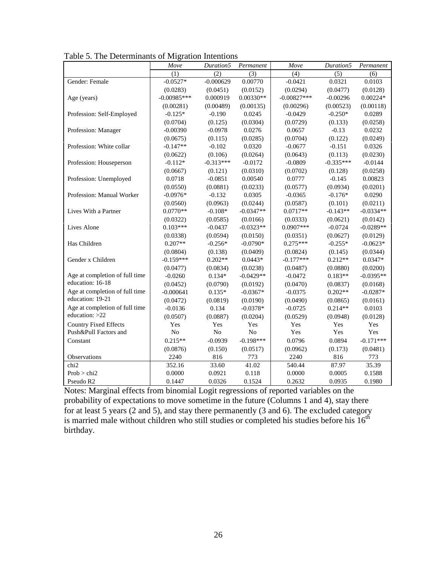|                                | Move          | Duration5      | Permanent   | Move          | Duration5   | Permanent   |
|--------------------------------|---------------|----------------|-------------|---------------|-------------|-------------|
|                                | (1)           | (2)            | (3)         | (4)           | (5)         | (6)         |
| Gender: Female                 | $-0.0527*$    | $-0.000629$    | 0.00770     | $-0.0421$     | 0.0321      | 0.0103      |
|                                | (0.0283)      | (0.0451)       | (0.0152)    | (0.0294)      | (0.0477)    | (0.0128)    |
| Age (years)                    | $-0.00985***$ | 0.000919       | $0.00330**$ | $-0.00827***$ | $-0.00296$  | $0.00224*$  |
|                                | (0.00281)     | (0.00489)      | (0.00135)   | (0.00296)     | (0.00523)   | (0.00118)   |
| Profession: Self-Employed      | $-0.125*$     | $-0.190$       | 0.0245      | $-0.0429$     | $-0.250*$   | 0.0289      |
|                                | (0.0704)      | (0.125)        | (0.0304)    | (0.0729)      | (0.133)     | (0.0258)    |
| Profession: Manager            | $-0.00390$    | $-0.0978$      | 0.0276      | 0.0657        | $-0.13$     | 0.0232      |
|                                | (0.0675)      | (0.115)        | (0.0285)    | (0.0704)      | (0.122)     | (0.0249)    |
| Profession: White collar       | $-0.147**$    | $-0.102$       | 0.0320      | $-0.0677$     | $-0.151$    | 0.0326      |
|                                | (0.0622)      | (0.106)        | (0.0264)    | (0.0643)      | (0.113)     | (0.0230)    |
| Profession: Houseperson        | $-0.112*$     | $-0.313***$    | $-0.0172$   | $-0.0809$     | $-0.335***$ | $-0.0144$   |
|                                | (0.0667)      | (0.121)        | (0.0310)    | (0.0702)      | (0.128)     | (0.0258)    |
| Profession: Unemployed         | 0.0718        | $-0.0851$      | 0.00540     | 0.0777        | $-0.145$    | 0.00823     |
|                                | (0.0550)      | (0.0881)       | (0.0233)    | (0.0577)      | (0.0934)    | (0.0201)    |
| Profession: Manual Worker      | $-0.0976*$    | $-0.132$       | 0.0305      | $-0.0365$     | $-0.176*$   | 0.0290      |
|                                | (0.0560)      | (0.0963)       | (0.0244)    | (0.0587)      | (0.101)     | (0.0211)    |
| Lives With a Partner           | $0.0770**$    | $-0.108*$      | $-0.0347**$ | $0.0717**$    | $-0.143**$  | $-0.0334**$ |
|                                | (0.0322)      | (0.0585)       | (0.0166)    | (0.0333)      | (0.0621)    | (0.0142)    |
| Lives Alone                    | $0.103***$    | $-0.0437$      | $-0.0323**$ | $0.0907***$   | $-0.0724$   | $-0.0289**$ |
|                                | (0.0338)      | (0.0594)       | (0.0150)    | (0.0351)      | (0.0627)    | (0.0129)    |
| Has Children                   | $0.207**$     | $-0.256*$      | $-0.0790*$  | $0.275***$    | $-0.255*$   | $-0.0623*$  |
|                                | (0.0804)      | (0.138)        | (0.0409)    | (0.0824)      | (0.145)     | (0.0344)    |
| Gender x Children              | $-0.159***$   | $0.202**$      | $0.0443*$   | $-0.177***$   | $0.212**$   | $0.0347*$   |
|                                | (0.0477)      | (0.0834)       | (0.0238)    | (0.0487)      | (0.0880)    | (0.0200)    |
| Age at completion of full time | $-0.0260$     | $0.134*$       | $-0.0429**$ | $-0.0472$     | $0.183**$   | $-0.0395**$ |
| education: 16-18               | (0.0452)      | (0.0790)       | (0.0192)    | (0.0470)      | (0.0837)    | (0.0168)    |
| Age at completion of full time | $-0.000641$   | $0.135*$       | $-0.0367*$  | $-0.0375$     | $0.202**$   | $-0.0287*$  |
| education: 19-21               | (0.0472)      | (0.0819)       | (0.0190)    | (0.0490)      | (0.0865)    | (0.0161)    |
| Age at completion of full time | $-0.0136$     | 0.134          | $-0.0378*$  | $-0.0725$     | $0.214**$   | 0.0103      |
| education: >22                 | (0.0507)      | (0.0887)       | (0.0204)    | (0.0529)      | (0.0948)    | (0.0128)    |
| <b>Country Fixed Effects</b>   | Yes           | Yes            | Yes         | Yes           | Yes         | Yes         |
| Push&Pull Factors and          | No            | N <sub>o</sub> | No          | Yes           | Yes         | Yes         |
| Constant                       | $0.215**$     | $-0.0939$      | $-0.198***$ | 0.0796        | 0.0894      | $-0.171***$ |
|                                | (0.0876)      | (0.150)        | (0.0517)    | (0.0962)      | (0.173)     | (0.0481)    |
| Observations                   | 2240          | 816            | 773         | 2240          | 816         | 773         |
| chi <sub>2</sub>               | 352.16        | 33.60          | 41.02       | 540.44        | 87.97       | 35.39       |
| Prob > chi2                    | 0.0000        | 0.0921         | 0.118       | 0.0000        | 0.0005      | 0.1588      |
| Pseudo R2                      | 0.1447        | 0.0326         | 0.1524      | 0.2632        | 0.0935      | 0.1980      |

Table 5. The Determinants of Migration Intentions

Notes: Marginal effects from binomial Logit regressions of reported variables on the probability of expectations to move sometime in the future (Columns 1 and 4), stay there for at least 5 years (2 and 5), and stay there permanently (3 and 6). The excluded category is married male without children who still studies or completed his studies before his  $16<sup>th</sup>$ birthday.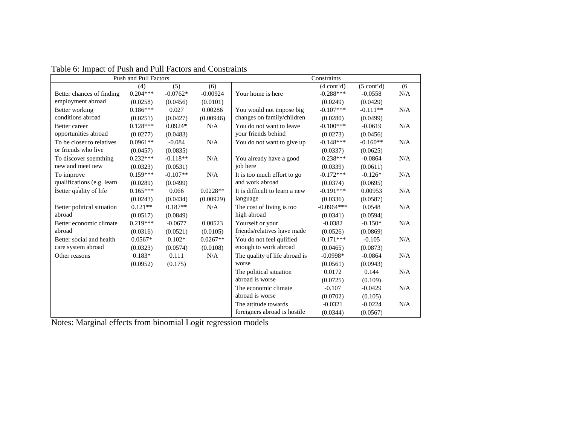| Push and Pull Factors      |            |            |            | Constraints                    |                            |                      |     |
|----------------------------|------------|------------|------------|--------------------------------|----------------------------|----------------------|-----|
|                            | (4)        | (5)        | (6)        |                                | $(4 \text{ cont} \cdot d)$ | $(5 \text{ cont'}d)$ | (6) |
| Better chances of finding  | $0.204***$ | $-0.0762*$ | $-0.00924$ | Your home is here              | $-0.288***$                | $-0.0558$            | N/A |
| employment abroad          | (0.0258)   | (0.0456)   | (0.0101)   |                                | (0.0249)                   | (0.0429)             |     |
| Better working             | $0.186***$ | 0.027      | 0.00286    | You would not impose big       | $-0.107***$                | $-0.111**$           | N/A |
| conditions abroad          | (0.0251)   | (0.0427)   | (0.00946)  | changes on family/children     | (0.0280)                   | (0.0499)             |     |
| Better career              | $0.128***$ | $0.0924*$  | N/A        | You do not want to leave       | $-0.100***$                | $-0.0619$            | N/A |
| opportunities abroad       | (0.0277)   | (0.0483)   |            | your friends behind            | (0.0273)                   | (0.0456)             |     |
| To be closer to relatives  | $0.0961**$ | $-0.084$   | N/A        | You do not want to give up     | $-0.148***$                | $-0.160**$           | N/A |
| or friends who live        | (0.0457)   | (0.0835)   |            |                                | (0.0337)                   | (0.0625)             |     |
| To discover soemthing      | $0.232***$ | $-0.118**$ | N/A        | You already have a good        | $-0.238***$                | $-0.0864$            | N/A |
| new and meet new           | (0.0323)   | (0.0531)   |            | job here                       | (0.0339)                   | (0.0611)             |     |
| To improve                 | $0.159***$ | $-0.107**$ | N/A        | It is too much effort to go    | $-0.172***$                | $-0.126*$            | N/A |
| qualifications (e.g. learn | (0.0289)   | (0.0499)   |            | and work abroad                | (0.0374)                   | (0.0695)             |     |
| Better quality of life     | $0.165***$ | 0.066      | $0.0228**$ | It is difficult to learn a new | $-0.191***$                | 0.00953              | N/A |
|                            | (0.0243)   | (0.0434)   | (0.00929)  | language                       | (0.0336)                   | (0.0587)             |     |
| Better political situation | $0.121**$  | $0.187**$  | N/A        | The cost of living is too      | $-0.0964***$               | 0.0548               | N/A |
| abroad                     | (0.0517)   | (0.0849)   |            | high abroad                    | (0.0341)                   | (0.0594)             |     |
| Better economic climate    | $0.219***$ | $-0.0677$  | 0.00523    | Yourself or your               | $-0.0382$                  | $-0.150*$            | N/A |
| abroad                     | (0.0316)   | (0.0521)   | (0.0105)   | friends/relatives have made    | (0.0526)                   | (0.0869)             |     |
| Better social and health   | $0.0567*$  | $0.102*$   | $0.0267**$ | You do not feel qulified       | $-0.171***$                | $-0.105$             | N/A |
| care system abroad         | (0.0323)   | (0.0574)   | (0.0108)   | enough to work abroad          | (0.0465)                   | (0.0873)             |     |
| Other reasons              | $0.183*$   | 0.111      | N/A        | The quality of life abroad is  | $-0.0998*$                 | $-0.0864$            | N/A |
|                            | (0.0952)   | (0.175)    |            | worse                          | (0.0561)                   | (0.0943)             |     |
|                            |            |            |            | The political situation        | 0.0172                     | 0.144                | N/A |
|                            |            |            |            | abroad is worse                | (0.0725)                   | (0.109)              |     |
|                            |            |            |            | The economic climate           | $-0.107$                   | $-0.0429$            | N/A |
|                            |            |            |            | abroad is worse                | (0.0702)                   | (0.105)              |     |
|                            |            |            |            | The attitude towards           | $-0.0321$                  | $-0.0224$            | N/A |
|                            |            |            |            | foreigners abroad is hostile   | (0.0344)                   | (0.0567)             |     |

Table 6: Impact of Push and Pull Factors and Constraints

Notes: Marginal effects from binomial Logit regression models